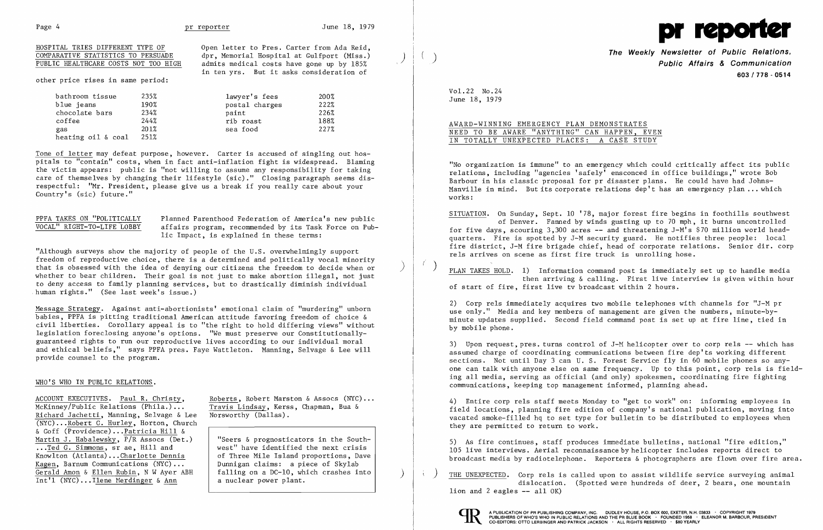

admits medical costs have gone up by 185% in ten yrs. But it asks consideration of

| HOSPITAL TRIES DIFFERENT TYPE OF     | Open letter to Pres. Carter from Ada Reid, |  |
|--------------------------------------|--------------------------------------------|--|
| COMPARATIVE STATISTICS TO PERSUADE   | dpr, Memorial Hospital at Gulfport (Miss.) |  |
| PUBLIC HEALTHCARE COSTS NOT TOO HIGH | admits medical costs have gone up by 185%  |  |

other price rises in same period:

| bathroom tissue    | 235% | lawyer's fees  | 200% |
|--------------------|------|----------------|------|
| blue jeans         | 190% | postal charges | 222% |
| chocolate bars     | 234% | paint          | 226% |
| coffee             | 244% | rib roast      | 188% |
| gas                | 201% | sea food       | 227% |
| heating oil & coal | 251% |                |      |

PPFA TAKES ON "POLITICALLY Planned Parenthood Federation of America's new public<br>VOCAL" RIGHT-TO-LIFE LOBBY affairs program, recommended by its Task Force on Pub-VOCAL" RIGHT-TO-LIFE LOBBY affairs program, recommended by its Task Force on Pub lic Impact, is explained in these terms:

Tone of letter may defeat purpose, however. Carter is accused of singling out hos pitals to "contain" costs, when in fact anti-inflation fight is widespread. Blaming the victim appears: public is "not willing to assume any responsibility for taking care of themselves by changing their lifestyle (sic)." Closing paragraph seems dis respectful: "Mr. President, please give us a break if you really care about your Country's (sic) future."

"Although surveys show the majority of people of the U.S. overwhelmingly support freedom of reproductive choice, there is a determined and politically vocal minority that is obsessed with the idea of denying our citizens the freedom to decide when or ) whether to bear children. Their goal is not just to make abortion illegal, not just to deny access to family planning services, but to drastically diminish individual . human rights." (See last week's issue.)

# AWARD-WINNING EMERGENCY PLAN DEMONSTRATES NEED TO BE AWARE "ANYTHING" CAN HAPPEN, EVEN IN TOTALLY UNEXPECTED PLACES: A CASE STUDY

Message Strategy. Against anti-abortionists' emotional claim of "murdering" unborn babies, PPFA is pitting traditional American attitude favoring freedom of choice & civil liberties. Corollary appeal is to "the right to hold differing views" without legislation foreclosing anyone's options. "We must preserve our Constitutionally guaranteed rights to run our reproductive lives according to our individual moral and ethical beliefs," says PPFA pres. Faye Wattleton. Manning, Selvage & Lee will provide counsel to the program.

PLAN TAKES HOLD. 1) Information command post is immediately set up to handle media then arriving & calling. First live interview is given within hour of start of fire, first live tv broadcast within 2 hours .

### WHO'S WHO IN PUBLIC RELATIONS.

ACCOUNT EXECUTIVES. Paul R. Christy, Roberts, Robert Marston & Assocs (NYC)...<br>McKinney/Public Relations (Phila.)... Travis Lindsay, Kerss, Chapman, Bua & Richard Jachetti, Manning, Selvage & Lee (NYC) ...Robert C. Hurley, Horton, Church & Goff (Providence) ...Patricia Hill & Martin J. Habalewsky,  $\overline{P/R}$  Assocs (Det.) ...Ted G. Simmons, sr ae, Hill and Knowlton (Atlanta) ...Charlotte Dennis Kagen, Barnum Communications (NYC) **...** Gerald Amon & Ellen Rubin, N W Ayer ABH<br>Int'l (NYC)...Ilene Merdinger & Ann

Travis Lindsay, Kerss, Chapman, Bua & Norsworthy (Dallas).

**Seers & prognosticators in the South** west" have identified the next crisis of Three Mile Island proportions, Dave **Dunnigan claims:** a piece of Skylab falling on a DC-10, which crashes into a nuclear power plant.

) THE UNEXPECTED. Corp rels is called upon to assist wildlife service surveying animal dislocation. (Spotted were hundreds of deer, 2 bears, one mountain  $1$ ion and  $2$  eagles  $-$  all  $0K$ )



**The Weekly Newsletter of Public Relations,** ) **Public Affairs & Communication 603/778 - 0514** 

Vol. 22 No. 24 June 18, 1979

"No organization is immune" to an emergency which could critically affect its public relations, including "agencies 'safely' ensconced in office buildings," wrote Bob Barbour in his classic proposal for pr disaster plans. He could have had Johns-Manville in mind. But its corporate relations dep't has an emergency plan  $\ldots$  which works:

SITUATION. On Sunday, Sept. 10 '78, major forest fire begins in foothills southwest of Denver. Fanned by winds gusting up to 70 mph, it burns uncontrolled for five days, scouring 3,300 acres **--** and threatening J-M's \$70 million world headquarters. Fire is spotted by J-M security guard. He notifies three people: local fire district, J-M fire brigade chief, head of corporate relations. Senior dir. corp rels arrives on scene as first fire truck is unrolling hose.

2) Corp rels immediately acquires two mobile telephones with channels for "J-M pr use only." Media and key members of management are given the numbers, minute-byminute updates supplied. Second field command post is set up at fire line, tied in by mobile phone.

3) Upon request, pres. turns control of J-M helicopter over to corp rels **--** which has assumed charge of coordinating communications between fire dep'ts working different sections. Not until Day 3 can U. S. Forest Service fly in 60 mobile phones so anyone can talk with anyone else on same frequency. Up to this point, corp rels is fielding all media, serving as official (and only) spokesmen, coordinating fire fighting communications, keeping top management informed, planning ahead.

4) Entire corp rels staff meets Monday to "get to work" on: informing employees in field locations, planning fire edition of company's national publication, moving into vacated smoke-filled hq to set type for bulletin to be distributed to employees when they are permitted to return to work.

5) As fire continues, staff produces immediate bulletins, national "fire edition," 105 live interviews. Aerial reconnaissance by helicopter includes reports direct to broadcast media by radiotelephone. Reporters & photographers are flown over fire area.